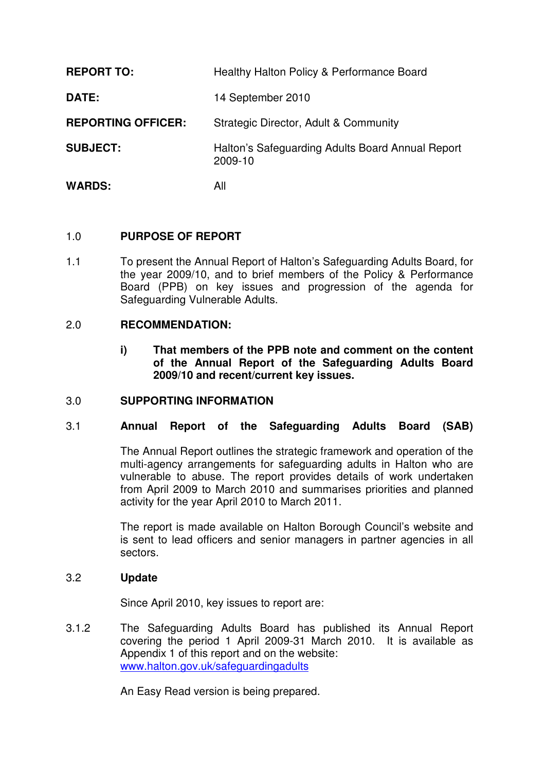| <b>REPORT TO:</b>         | Healthy Halton Policy & Performance Board                   |
|---------------------------|-------------------------------------------------------------|
| DATE:                     | 14 September 2010                                           |
| <b>REPORTING OFFICER:</b> | Strategic Director, Adult & Community                       |
| <b>SUBJECT:</b>           | Halton's Safeguarding Adults Board Annual Report<br>2009-10 |
| <b>WARDS:</b>             | All                                                         |

## 1.0 **PURPOSE OF REPORT**

1.1 To present the Annual Report of Halton's Safeguarding Adults Board, for the year 2009/10, and to brief members of the Policy & Performance Board (PPB) on key issues and progression of the agenda for Safeguarding Vulnerable Adults.

## 2.0 **RECOMMENDATION:**

**i) That members of the PPB note and comment on the content of the Annual Report of the Safeguarding Adults Board 2009/10 and recent/current key issues.** 

#### 3.0 **SUPPORTING INFORMATION**

#### 3.1 **Annual Report of the Safeguarding Adults Board (SAB)**

The Annual Report outlines the strategic framework and operation of the multi-agency arrangements for safeguarding adults in Halton who are vulnerable to abuse. The report provides details of work undertaken from April 2009 to March 2010 and summarises priorities and planned activity for the year April 2010 to March 2011.

The report is made available on Halton Borough Council's website and is sent to lead officers and senior managers in partner agencies in all sectors.

#### 3.2 **Update**

Since April 2010, key issues to report are:

3.1.2 The Safeguarding Adults Board has published its Annual Report covering the period 1 April 2009-31 March 2010. It is available as Appendix 1 of this report and on the website: www.halton.gov.uk/safeguardingadults

An Easy Read version is being prepared.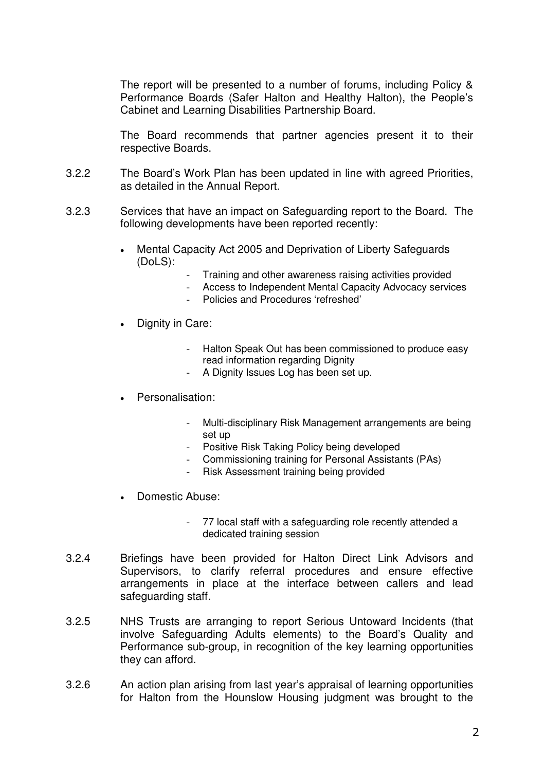The report will be presented to a number of forums, including Policy & Performance Boards (Safer Halton and Healthy Halton), the People's Cabinet and Learning Disabilities Partnership Board.

The Board recommends that partner agencies present it to their respective Boards.

- 3.2.2 The Board's Work Plan has been updated in line with agreed Priorities, as detailed in the Annual Report.
- 3.2.3 Services that have an impact on Safeguarding report to the Board. The following developments have been reported recently:
	- Mental Capacity Act 2005 and Deprivation of Liberty Safeguards (DoLS):
		- Training and other awareness raising activities provided
		- Access to Independent Mental Capacity Advocacy services
		- Policies and Procedures 'refreshed'
	- Dignity in Care:
		- Halton Speak Out has been commissioned to produce easy read information regarding Dignity
		- A Dignity Issues Log has been set up.
	- Personalisation:
		- Multi-disciplinary Risk Management arrangements are being set up
		- Positive Risk Taking Policy being developed
		- Commissioning training for Personal Assistants (PAs)
			- Risk Assessment training being provided
	- Domestic Abuse:
		- 77 local staff with a safeguarding role recently attended a dedicated training session
- 3.2.4 Briefings have been provided for Halton Direct Link Advisors and Supervisors, to clarify referral procedures and ensure effective arrangements in place at the interface between callers and lead safeguarding staff.
- 3.2.5 NHS Trusts are arranging to report Serious Untoward Incidents (that involve Safeguarding Adults elements) to the Board's Quality and Performance sub-group, in recognition of the key learning opportunities they can afford.
- 3.2.6 An action plan arising from last year's appraisal of learning opportunities for Halton from the Hounslow Housing judgment was brought to the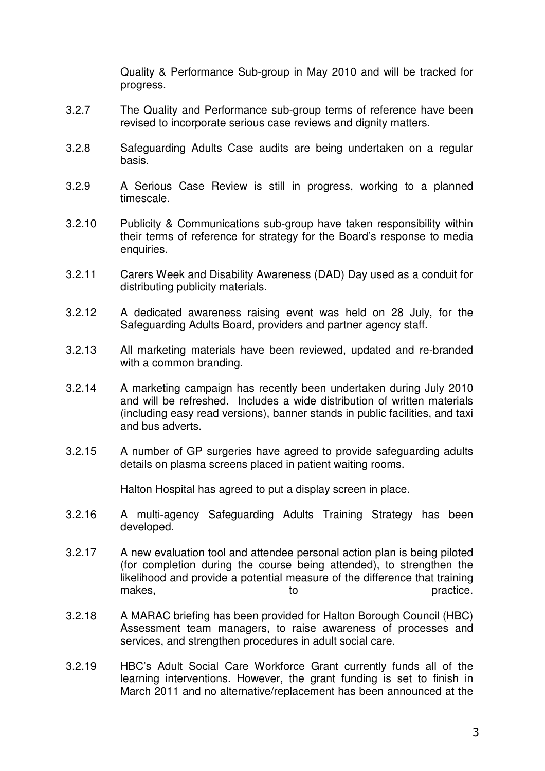Quality & Performance Sub-group in May 2010 and will be tracked for progress.

- 3.2.7 The Quality and Performance sub-group terms of reference have been revised to incorporate serious case reviews and dignity matters.
- 3.2.8 Safeguarding Adults Case audits are being undertaken on a regular basis.
- 3.2.9 A Serious Case Review is still in progress, working to a planned timescale.
- 3.2.10 Publicity & Communications sub-group have taken responsibility within their terms of reference for strategy for the Board's response to media enquiries.
- 3.2.11 Carers Week and Disability Awareness (DAD) Day used as a conduit for distributing publicity materials.
- 3.2.12 A dedicated awareness raising event was held on 28 July, for the Safeguarding Adults Board, providers and partner agency staff.
- 3.2.13 All marketing materials have been reviewed, updated and re-branded with a common branding.
- 3.2.14 A marketing campaign has recently been undertaken during July 2010 and will be refreshed. Includes a wide distribution of written materials (including easy read versions), banner stands in public facilities, and taxi and bus adverts.
- 3.2.15 A number of GP surgeries have agreed to provide safeguarding adults details on plasma screens placed in patient waiting rooms.

Halton Hospital has agreed to put a display screen in place.

- 3.2.16 A multi-agency Safeguarding Adults Training Strategy has been developed.
- 3.2.17 A new evaluation tool and attendee personal action plan is being piloted (for completion during the course being attended), to strengthen the likelihood and provide a potential measure of the difference that training makes, to to practice.
- 3.2.18 A MARAC briefing has been provided for Halton Borough Council (HBC) Assessment team managers, to raise awareness of processes and services, and strengthen procedures in adult social care.
- 3.2.19 HBC's Adult Social Care Workforce Grant currently funds all of the learning interventions. However, the grant funding is set to finish in March 2011 and no alternative/replacement has been announced at the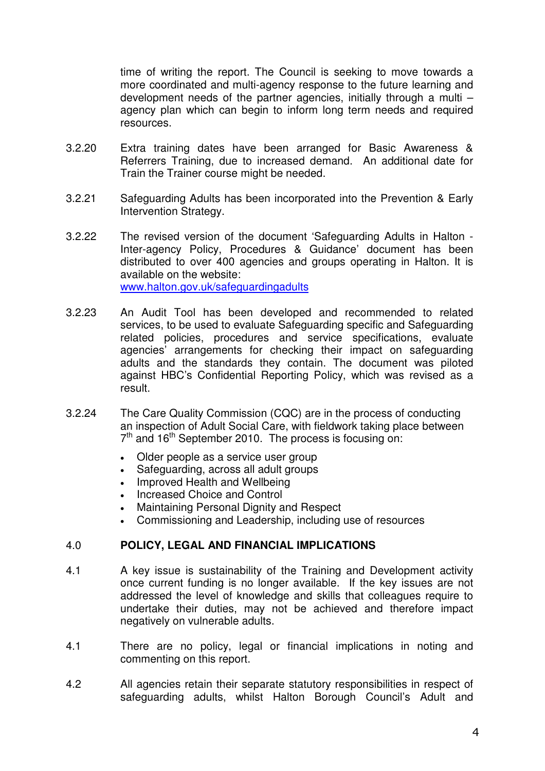time of writing the report. The Council is seeking to move towards a more coordinated and multi-agency response to the future learning and development needs of the partner agencies, initially through a multi – agency plan which can begin to inform long term needs and required resources.

- 3.2.20 Extra training dates have been arranged for Basic Awareness & Referrers Training, due to increased demand. An additional date for Train the Trainer course might be needed.
- 3.2.21 Safeguarding Adults has been incorporated into the Prevention & Early Intervention Strategy.
- 3.2.22 The revised version of the document 'Safeguarding Adults in Halton Inter-agency Policy, Procedures & Guidance' document has been distributed to over 400 agencies and groups operating in Halton. It is available on the website: www.halton.gov.uk/safeguardingadults
- 3.2.23 An Audit Tool has been developed and recommended to related services, to be used to evaluate Safeguarding specific and Safeguarding related policies, procedures and service specifications, evaluate agencies' arrangements for checking their impact on safeguarding adults and the standards they contain. The document was piloted against HBC's Confidential Reporting Policy, which was revised as a result.
- 3.2.24 The Care Quality Commission (CQC) are in the process of conducting an inspection of Adult Social Care, with fieldwork taking place between  $7<sup>th</sup>$  and 16<sup>th</sup> September 2010. The process is focusing on:
	- Older people as a service user group
	- Safeguarding, across all adult groups
	- Improved Health and Wellbeing
	- Increased Choice and Control
	- Maintaining Personal Dignity and Respect
	- Commissioning and Leadership, including use of resources

## 4.0 **POLICY, LEGAL AND FINANCIAL IMPLICATIONS**

- 4.1 A key issue is sustainability of the Training and Development activity once current funding is no longer available. If the key issues are not addressed the level of knowledge and skills that colleagues require to undertake their duties, may not be achieved and therefore impact negatively on vulnerable adults.
- 4.1 There are no policy, legal or financial implications in noting and commenting on this report.
- 4.2 All agencies retain their separate statutory responsibilities in respect of safeguarding adults, whilst Halton Borough Council's Adult and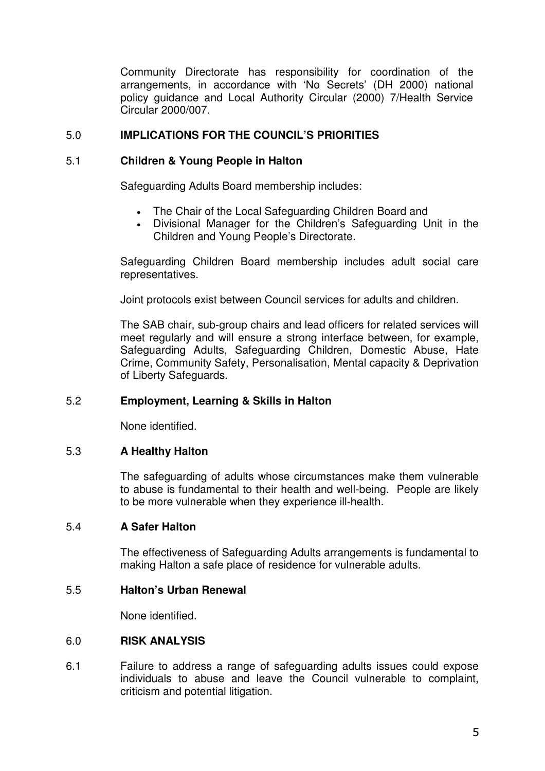Community Directorate has responsibility for coordination of the arrangements, in accordance with 'No Secrets' (DH 2000) national policy guidance and Local Authority Circular (2000) 7/Health Service Circular 2000/007.

# 5.0 **IMPLICATIONS FOR THE COUNCIL'S PRIORITIES**

## 5.1 **Children & Young People in Halton**

Safeguarding Adults Board membership includes:

- The Chair of the Local Safeguarding Children Board and
- Divisional Manager for the Children's Safeguarding Unit in the Children and Young People's Directorate.

Safeguarding Children Board membership includes adult social care representatives.

Joint protocols exist between Council services for adults and children.

The SAB chair, sub-group chairs and lead officers for related services will meet regularly and will ensure a strong interface between, for example, Safeguarding Adults, Safeguarding Children, Domestic Abuse, Hate Crime, Community Safety, Personalisation, Mental capacity & Deprivation of Liberty Safeguards.

## 5.2 **Employment, Learning & Skills in Halton**

None identified.

## 5.3 **A Healthy Halton**

The safeguarding of adults whose circumstances make them vulnerable to abuse is fundamental to their health and well-being. People are likely to be more vulnerable when they experience ill-health.

## 5.4 **A Safer Halton**

The effectiveness of Safeguarding Adults arrangements is fundamental to making Halton a safe place of residence for vulnerable adults.

## 5.5 **Halton's Urban Renewal**

None identified.

#### 6.0 **RISK ANALYSIS**

6.1 Failure to address a range of safeguarding adults issues could expose individuals to abuse and leave the Council vulnerable to complaint, criticism and potential litigation.